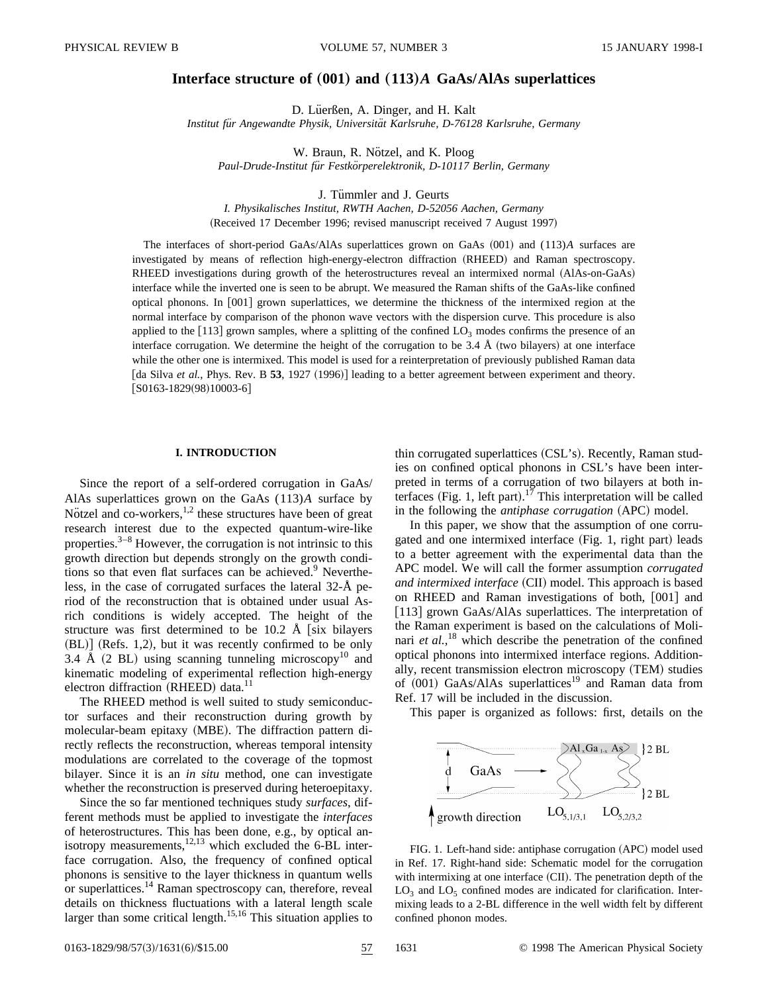# **Interface structure of (001) and (113)A GaAs/AlAs superlattices**

D. Lüerßen, A. Dinger, and H. Kalt

*Institut fu¨r Angewandte Physik, Universita¨t Karlsruhe, D-76128 Karlsruhe, Germany*

W. Braun, R. Nötzel, and K. Ploog *Paul-Drude-Institut fu¨r Festko¨rperelektronik, D-10117 Berlin, Germany*

J. Tümmler and J. Geurts

*I. Physikalisches Institut, RWTH Aachen, D-52056 Aachen, Germany* (Received 17 December 1996; revised manuscript received 7 August 1997)

The interfaces of short-period GaAs/AlAs superlattices grown on GaAs  $(001)$  and  $(113)A$  surfaces are investigated by means of reflection high-energy-electron diffraction (RHEED) and Raman spectroscopy. RHEED investigations during growth of the heterostructures reveal an intermixed normal (AlAs-on-GaAs) interface while the inverted one is seen to be abrupt. We measured the Raman shifts of the GaAs-like confined optical phonons. In [001] grown superlattices, we determine the thickness of the intermixed region at the normal interface by comparison of the phonon wave vectors with the dispersion curve. This procedure is also applied to the [113] grown samples, where a splitting of the confined  $LO<sub>3</sub>$  modes confirms the presence of an interface corrugation. We determine the height of the corrugation to be  $3.4 \text{ Å}$  (two bilayers) at one interface while the other one is intermixed. This model is used for a reinterpretation of previously published Raman data  $\int$ da Silva *et al.*, Phys. Rev. B **53**, 1927 (1996)] leading to a better agreement between experiment and theory.  $[S0163-1829(98)10003-6]$ 

#### **I. INTRODUCTION**

Since the report of a self-ordered corrugation in GaAs/ AlAs superlattices grown on the GaAs (113)*A* surface by Nötzel and co-workers, $1,2$  these structures have been of great research interest due to the expected quantum-wire-like properties. $3-8$  However, the corrugation is not intrinsic to this growth direction but depends strongly on the growth conditions so that even flat surfaces can be achieved.<sup>9</sup> Nevertheless, in the case of corrugated surfaces the lateral 32-Å period of the reconstruction that is obtained under usual Asrich conditions is widely accepted. The height of the structure was first determined to be 10.2 Å  $\left[$  six bilayers  $(BL)$  (Refs. 1,2), but it was recently confirmed to be only 3.4 Å  $(2 \text{ BL})$  using scanning tunneling microscopy<sup>10</sup> and kinematic modeling of experimental reflection high-energy electron diffraction  $(RHEED)$  data.<sup>11</sup>

The RHEED method is well suited to study semiconductor surfaces and their reconstruction during growth by molecular-beam epitaxy (MBE). The diffraction pattern directly reflects the reconstruction, whereas temporal intensity modulations are correlated to the coverage of the topmost bilayer. Since it is an *in situ* method, one can investigate whether the reconstruction is preserved during heteroepitaxy.

Since the so far mentioned techniques study *surfaces*, different methods must be applied to investigate the *interfaces* of heterostructures. This has been done, e.g., by optical anisotropy measurements, $12,13$  which excluded the 6-BL interface corrugation. Also, the frequency of confined optical phonons is sensitive to the layer thickness in quantum wells or superlattices.<sup>14</sup> Raman spectroscopy can, therefore, reveal details on thickness fluctuations with a lateral length scale larger than some critical length.<sup>15,16</sup> This situation applies to thin corrugated superlattices (CSL's). Recently, Raman studies on confined optical phonons in CSL's have been interpreted in terms of a corrugation of two bilayers at both interfaces (Fig. 1, left part).<sup>17</sup> This interpretation will be called in the following the *antiphase corrugation* (APC) model.

In this paper, we show that the assumption of one corrugated and one intermixed interface (Fig. 1, right part) leads to a better agreement with the experimental data than the APC model. We will call the former assumption *corrugated and intermixed interface* (CII) model. This approach is based on RHEED and Raman investigations of both,  $[001]$  and [113] grown GaAs/AlAs superlattices. The interpretation of the Raman experiment is based on the calculations of Molinari *et al.*, <sup>18</sup> which describe the penetration of the confined optical phonons into intermixed interface regions. Additionally, recent transmission electron microscopy (TEM) studies of  $(001)$  GaAs/AlAs superlattices<sup>19</sup> and Raman data from Ref. 17 will be included in the discussion.

This paper is organized as follows: first, details on the



FIG. 1. Left-hand side: antiphase corrugation (APC) model used in Ref. 17. Right-hand side: Schematic model for the corrugation with intermixing at one interface  $(CII)$ . The penetration depth of the  $LO<sub>3</sub>$  and  $LO<sub>5</sub>$  confined modes are indicated for clarification. Intermixing leads to a 2-BL difference in the well width felt by different confined phonon modes.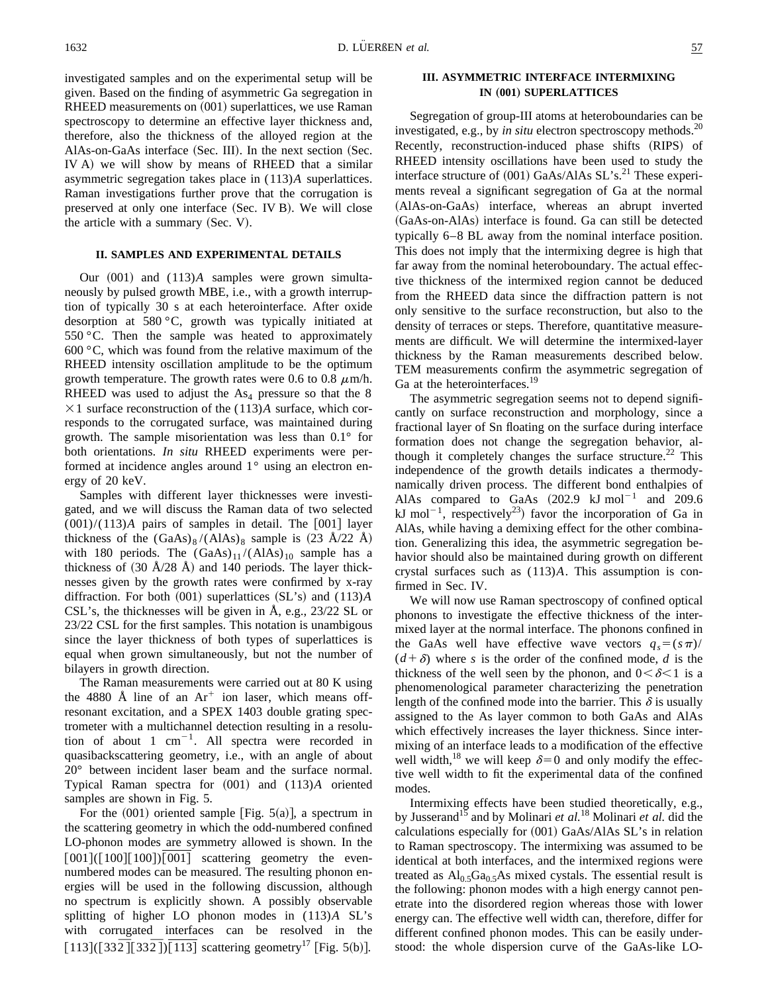investigated samples and on the experimental setup will be given. Based on the finding of asymmetric Ga segregation in RHEED measurements on  $(001)$  superlattices, we use Raman spectroscopy to determine an effective layer thickness and, therefore, also the thickness of the alloyed region at the AlAs-on-GaAs interface (Sec. III). In the next section (Sec. IV A) we will show by means of RHEED that a similar asymmetric segregation takes place in (113)*A* superlattices. Raman investigations further prove that the corrugation is preserved at only one interface (Sec. IV B). We will close the article with a summary  $(Sec. V)$ .

## **II. SAMPLES AND EXPERIMENTAL DETAILS**

Our  $(001)$  and  $(113)A$  samples were grown simultaneously by pulsed growth MBE, i.e., with a growth interruption of typically 30 s at each heterointerface. After oxide desorption at 580 °C, growth was typically initiated at 550  $\degree$ C. Then the sample was heated to approximately 600 °C, which was found from the relative maximum of the RHEED intensity oscillation amplitude to be the optimum growth temperature. The growth rates were 0.6 to 0.8  $\mu$ m/h. RHEED was used to adjust the  $As<sub>4</sub>$  pressure so that the 8  $\times$ 1 surface reconstruction of the (113)*A* surface, which corresponds to the corrugated surface, was maintained during growth. The sample misorientation was less than 0.1° for both orientations. *In situ* RHEED experiments were performed at incidence angles around 1° using an electron energy of 20 keV.

Samples with different layer thicknesses were investigated, and we will discuss the Raman data of two selected  $(001)/(113)$ *A* pairs of samples in detail. The  $[001]$  layer thickness of the  $(GaAs)_8/(AlAs)_8$  sample is  $(23 \text{ Å}/22 \text{ Å})$ with 180 periods. The  $(GaAs)_{11}/(AAs)_{10}$  sample has a thickness of  $(30 \text{ Å}/28 \text{ Å})$  and 140 periods. The layer thicknesses given by the growth rates were confirmed by x-ray diffraction. For both  $(001)$  superlattices  $(SL's)$  and  $(113)A$ CSL's, the thicknesses will be given in Å, e.g., 23/22 SL or 23/22 CSL for the first samples. This notation is unambigous since the layer thickness of both types of superlattices is equal when grown simultaneously, but not the number of bilayers in growth direction.

The Raman measurements were carried out at 80 K using the 4880 Å line of an  $Ar^+$  ion laser, which means offresonant excitation, and a SPEX 1403 double grating spectrometer with a multichannel detection resulting in a resolution of about 1  $cm^{-1}$ . All spectra were recorded in quasibackscattering geometry, i.e., with an angle of about 20° between incident laser beam and the surface normal. Typical Raman spectra for  $(001)$  and  $(113)A$  oriented samples are shown in Fig. 5.

For the  $(001)$  oriented sample [Fig. 5(a)], a spectrum in the scattering geometry in which the odd-numbered confined LO-phonon modes are symmetry allowed is shown. In the  $[001] ([100] [100] ) [001]$  scattering geometry the evennumbered modes can be measured. The resulting phonon energies will be used in the following discussion, although no spectrum is explicitly shown. A possibly observable splitting of higher LO phonon modes in (113)*A* SL's with corrugated interfaces can be resolved in the  $[113] ([332] [332]) [113]$  scattering geometry<sup>17</sup> [Fig. 5(b)].

# **III. ASYMMETRIC INTERFACE INTERMIXING IN** (001) **SUPERLATTICES**

Segregation of group-III atoms at heteroboundaries can be investigated, e.g., by *in situ* electron spectroscopy methods.<sup>20</sup> Recently, reconstruction-induced phase shifts (RIPS) of RHEED intensity oscillations have been used to study the interface structure of  $(001)$  GaAs/AlAs SL's.<sup>21</sup> These experiments reveal a significant segregation of Ga at the normal (AlAs-on-GaAs) interface, whereas an abrupt inverted (GaAs-on-AlAs) interface is found. Ga can still be detected typically 6–8 BL away from the nominal interface position. This does not imply that the intermixing degree is high that far away from the nominal heteroboundary. The actual effective thickness of the intermixed region cannot be deduced from the RHEED data since the diffraction pattern is not only sensitive to the surface reconstruction, but also to the density of terraces or steps. Therefore, quantitative measurements are difficult. We will determine the intermixed-layer thickness by the Raman measurements described below. TEM measurements confirm the asymmetric segregation of Ga at the heterointerfaces.<sup>19</sup>

The asymmetric segregation seems not to depend significantly on surface reconstruction and morphology, since a fractional layer of Sn floating on the surface during interface formation does not change the segregation behavior, although it completely changes the surface structure.<sup>22</sup> This independence of the growth details indicates a thermodynamically driven process. The different bond enthalpies of AlAs compared to GaAs  $(202.9 \text{ kJ mol}^{-1}$  and 209.6 kJ mol<sup>-1</sup>, respectively<sup>23</sup>) favor the incorporation of Ga in AlAs, while having a demixing effect for the other combination. Generalizing this idea, the asymmetric segregation behavior should also be maintained during growth on different crystal surfaces such as (113)*A*. This assumption is confirmed in Sec. IV.

We will now use Raman spectroscopy of confined optical phonons to investigate the effective thickness of the intermixed layer at the normal interface. The phonons confined in the GaAs well have effective wave vectors  $q_s = (s\pi)$ /  $(d+\delta)$  where *s* is the order of the confined mode, *d* is the thickness of the well seen by the phonon, and  $0 < \delta < 1$  is a phenomenological parameter characterizing the penetration length of the confined mode into the barrier. This  $\delta$  is usually assigned to the As layer common to both GaAs and AlAs which effectively increases the layer thickness. Since intermixing of an interface leads to a modification of the effective well width,<sup>18</sup> we will keep  $\delta=0$  and only modify the effective well width to fit the experimental data of the confined modes.

Intermixing effects have been studied theoretically, e.g., by Jusserand<sup>15</sup> and by Molinari *et al.*<sup>18</sup> Molinari *et al.* did the calculations especially for  $(001)$  GaAs/AlAs SL's in relation to Raman spectroscopy. The intermixing was assumed to be identical at both interfaces, and the intermixed regions were treated as  $Al<sub>0.5</sub>Ga<sub>0.5</sub>As mixed cystals. The essential result is$ the following: phonon modes with a high energy cannot penetrate into the disordered region whereas those with lower energy can. The effective well width can, therefore, differ for different confined phonon modes. This can be easily understood: the whole dispersion curve of the GaAs-like LO-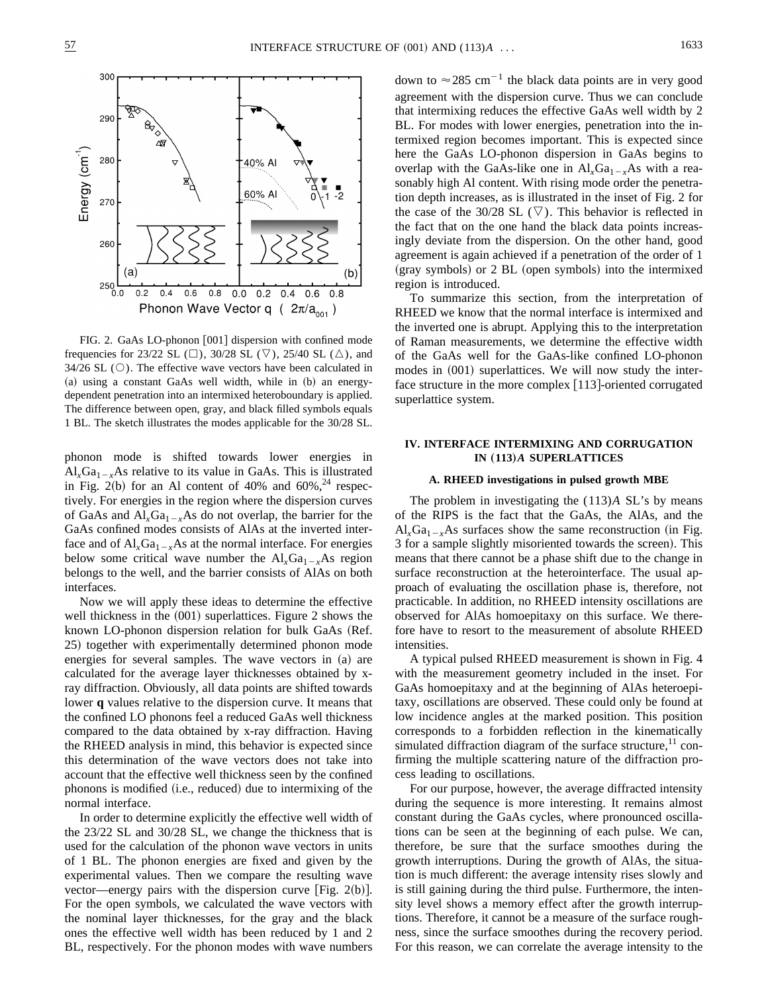

FIG. 2. GaAs LO-phonon [001] dispersion with confined mode frequencies for 23/22 SL ( $\Box$ ), 30/28 SL ( $\triangledown$ ), 25/40 SL ( $\triangle$ ), and  $34/26$  SL ( $\circ$ ). The effective wave vectors have been calculated in  $(a)$  using a constant GaAs well width, while in  $(b)$  an energydependent penetration into an intermixed heteroboundary is applied. The difference between open, gray, and black filled symbols equals 1 BL. The sketch illustrates the modes applicable for the 30/28 SL.

phonon mode is shifted towards lower energies in  $Al_xGa_{1-x}As$  relative to its value in GaAs. This is illustrated in Fig. 2(b) for an Al content of 40% and  $60\%$ ,  $^{24}$  respectively. For energies in the region where the dispersion curves of GaAs and  $Al_xGa_{1-x}As$  do not overlap, the barrier for the GaAs confined modes consists of AlAs at the inverted interface and of  $Al_xGa_{1-x}As$  at the normal interface. For energies below some critical wave number the  $Al_xGa_{1-x}As$  region belongs to the well, and the barrier consists of AlAs on both interfaces.

Now we will apply these ideas to determine the effective well thickness in the  $(001)$  superlattices. Figure 2 shows the known LO-phonon dispersion relation for bulk GaAs (Ref. 25) together with experimentally determined phonon mode energies for several samples. The wave vectors in (a) are calculated for the average layer thicknesses obtained by xray diffraction. Obviously, all data points are shifted towards lower **q** values relative to the dispersion curve. It means that the confined LO phonons feel a reduced GaAs well thickness compared to the data obtained by x-ray diffraction. Having the RHEED analysis in mind, this behavior is expected since this determination of the wave vectors does not take into account that the effective well thickness seen by the confined phonons is modified (i.e., reduced) due to intermixing of the normal interface.

In order to determine explicitly the effective well width of the 23/22 SL and 30/28 SL, we change the thickness that is used for the calculation of the phonon wave vectors in units of 1 BL. The phonon energies are fixed and given by the experimental values. Then we compare the resulting wave vector—energy pairs with the dispersion curve [Fig. 2(b)]. For the open symbols, we calculated the wave vectors with the nominal layer thicknesses, for the gray and the black ones the effective well width has been reduced by 1 and 2 BL, respectively. For the phonon modes with wave numbers

down to  $\approx 285$  cm<sup>-1</sup> the black data points are in very good agreement with the dispersion curve. Thus we can conclude that intermixing reduces the effective GaAs well width by 2 BL. For modes with lower energies, penetration into the intermixed region becomes important. This is expected since here the GaAs LO-phonon dispersion in GaAs begins to overlap with the GaAs-like one in  $Al_xGa_{1-x}As$  with a reasonably high Al content. With rising mode order the penetration depth increases, as is illustrated in the inset of Fig. 2 for the case of the 30/28 SL  $(\nabla)$ . This behavior is reflected in the fact that on the one hand the black data points increasingly deviate from the dispersion. On the other hand, good agreement is again achieved if a penetration of the order of 1  $(gray symbols)$  or 2 BL (open symbols) into the intermixed region is introduced.

To summarize this section, from the interpretation of RHEED we know that the normal interface is intermixed and the inverted one is abrupt. Applying this to the interpretation of Raman measurements, we determine the effective width of the GaAs well for the GaAs-like confined LO-phonon modes in  $(001)$  superlattices. We will now study the interface structure in the more complex  $[113]$ -oriented corrugated superlattice system.

### **IV. INTERFACE INTERMIXING AND CORRUGATION IN** (113)A SUPERLATTICES

#### **A. RHEED investigations in pulsed growth MBE**

The problem in investigating the (113)*A* SL's by means of the RIPS is the fact that the GaAs, the AlAs, and the  $Al_xGa_{1-x}As$  surfaces show the same reconstruction (in Fig. 3 for a sample slightly misoriented towards the screen). This means that there cannot be a phase shift due to the change in surface reconstruction at the heterointerface. The usual approach of evaluating the oscillation phase is, therefore, not practicable. In addition, no RHEED intensity oscillations are observed for AlAs homoepitaxy on this surface. We therefore have to resort to the measurement of absolute RHEED intensities.

A typical pulsed RHEED measurement is shown in Fig. 4 with the measurement geometry included in the inset. For GaAs homoepitaxy and at the beginning of AlAs heteroepitaxy, oscillations are observed. These could only be found at low incidence angles at the marked position. This position corresponds to a forbidden reflection in the kinematically simulated diffraction diagram of the surface structure, $11$  confirming the multiple scattering nature of the diffraction process leading to oscillations.

For our purpose, however, the average diffracted intensity during the sequence is more interesting. It remains almost constant during the GaAs cycles, where pronounced oscillations can be seen at the beginning of each pulse. We can, therefore, be sure that the surface smoothes during the growth interruptions. During the growth of AlAs, the situation is much different: the average intensity rises slowly and is still gaining during the third pulse. Furthermore, the intensity level shows a memory effect after the growth interruptions. Therefore, it cannot be a measure of the surface roughness, since the surface smoothes during the recovery period. For this reason, we can correlate the average intensity to the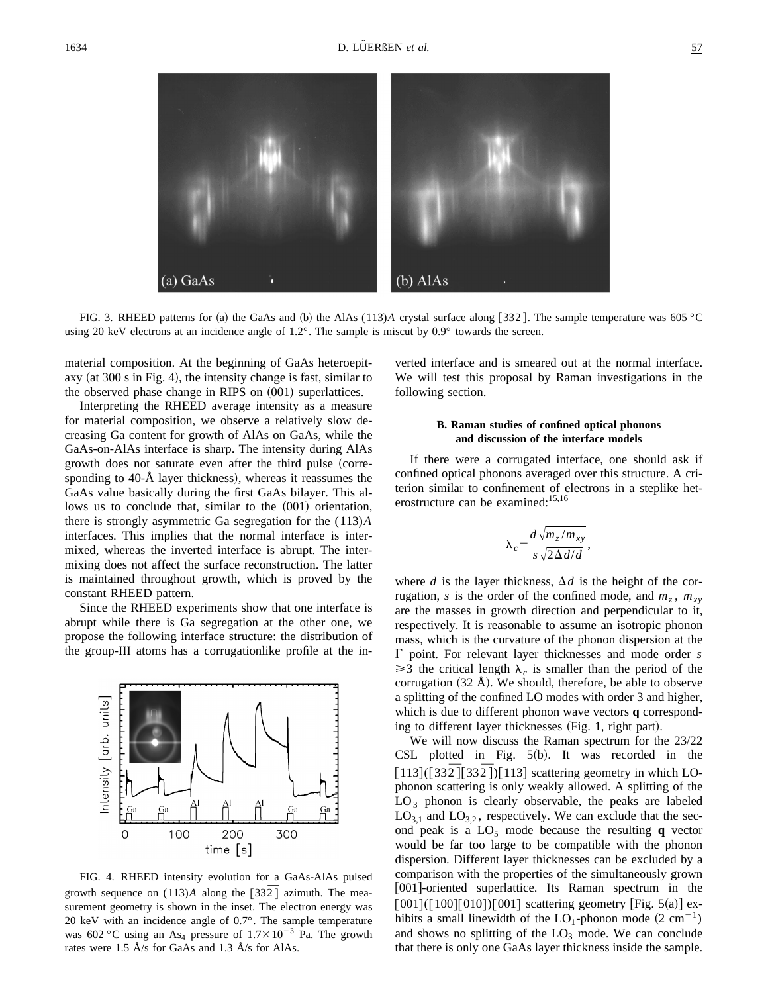

FIG. 3. RHEED patterns for (a) the GaAs and (b) the AlAs (113)*A* crystal surface along [33 $\overline{2}$ ]. The sample temperature was 605 °C using 20 keV electrons at an incidence angle of 1.2°. The sample is miscut by 0.9° towards the screen.

material composition. At the beginning of GaAs heteroepitaxy (at  $300 s$  in Fig. 4), the intensity change is fast, similar to the observed phase change in RIPS on  $(001)$  superlattices.

Interpreting the RHEED average intensity as a measure for material composition, we observe a relatively slow decreasing Ga content for growth of AlAs on GaAs, while the GaAs-on-AlAs interface is sharp. The intensity during AlAs growth does not saturate even after the third pulse (corresponding to  $40-\text{\AA}$  layer thickness), whereas it reassumes the GaAs value basically during the first GaAs bilayer. This allows us to conclude that, similar to the  $(001)$  orientation, there is strongly asymmetric Ga segregation for the (113)*A* interfaces. This implies that the normal interface is intermixed, whereas the inverted interface is abrupt. The intermixing does not affect the surface reconstruction. The latter is maintained throughout growth, which is proved by the constant RHEED pattern.

Since the RHEED experiments show that one interface is abrupt while there is Ga segregation at the other one, we propose the following interface structure: the distribution of the group-III atoms has a corrugationlike profile at the in-



FIG. 4. RHEED intensity evolution for a GaAs-AlAs pulsed growth sequence on  $(113)A$  along the  $\lceil 332 \rceil$  azimuth. The measurement geometry is shown in the inset. The electron energy was 20 keV with an incidence angle of 0.7°. The sample temperature was 602 °C using an As<sub>4</sub> pressure of  $1.7 \times 10^{-3}$  Pa. The growth rates were 1.5 Å/s for GaAs and 1.3 Å/s for AlAs.

verted interface and is smeared out at the normal interface. We will test this proposal by Raman investigations in the following section.

## **B. Raman studies of confined optical phonons and discussion of the interface models**

If there were a corrugated interface, one should ask if confined optical phonons averaged over this structure. A criterion similar to confinement of electrons in a steplike heterostructure can be examined:<sup>15,16</sup>

$$
\lambda_c = \frac{d\sqrt{m_z/m_{xy}}}{s\sqrt{2\Delta d/d}},
$$

where *d* is the layer thickness,  $\Delta d$  is the height of the corrugation, *s* is the order of the confined mode, and  $m_z$ ,  $m_{xy}$ are the masses in growth direction and perpendicular to it, respectively. It is reasonable to assume an isotropic phonon mass, which is the curvature of the phonon dispersion at the G point. For relevant layer thicknesses and mode order *s*  $\geq$ 3 the critical length  $\lambda_c$  is smaller than the period of the corrugation  $(32 \text{ Å})$ . We should, therefore, be able to observe a splitting of the confined LO modes with order 3 and higher, which is due to different phonon wave vectors **q** corresponding to different layer thicknesses  $(Fig. 1, right part)$ .

We will now discuss the Raman spectrum for the 23/22 CSL plotted in Fig.  $5(b)$ . It was recorded in the  $[113] ([332] [332]) [113]$  scattering geometry in which LOphonon scattering is only weakly allowed. A splitting of the  $LO<sub>3</sub>$  phonon is clearly observable, the peaks are labeled  $LO_{3,1}$  and  $LO_{3,2}$ , respectively. We can exclude that the second peak is a  $LO_5$  mode because the resulting **q** vector would be far too large to be compatible with the phonon dispersion. Different layer thicknesses can be excluded by a comparison with the properties of the simultaneously grown [001]-oriented superlattice. Its Raman spectrum in the  $[001] ([100] [010] ) [001]$  scattering geometry [Fig. 5(a)] exhibits a small linewidth of the  $LO_1$ -phonon mode  $(2 \text{ cm}^{-1})$ and shows no splitting of the  $LO<sub>3</sub>$  mode. We can conclude that there is only one GaAs layer thickness inside the sample.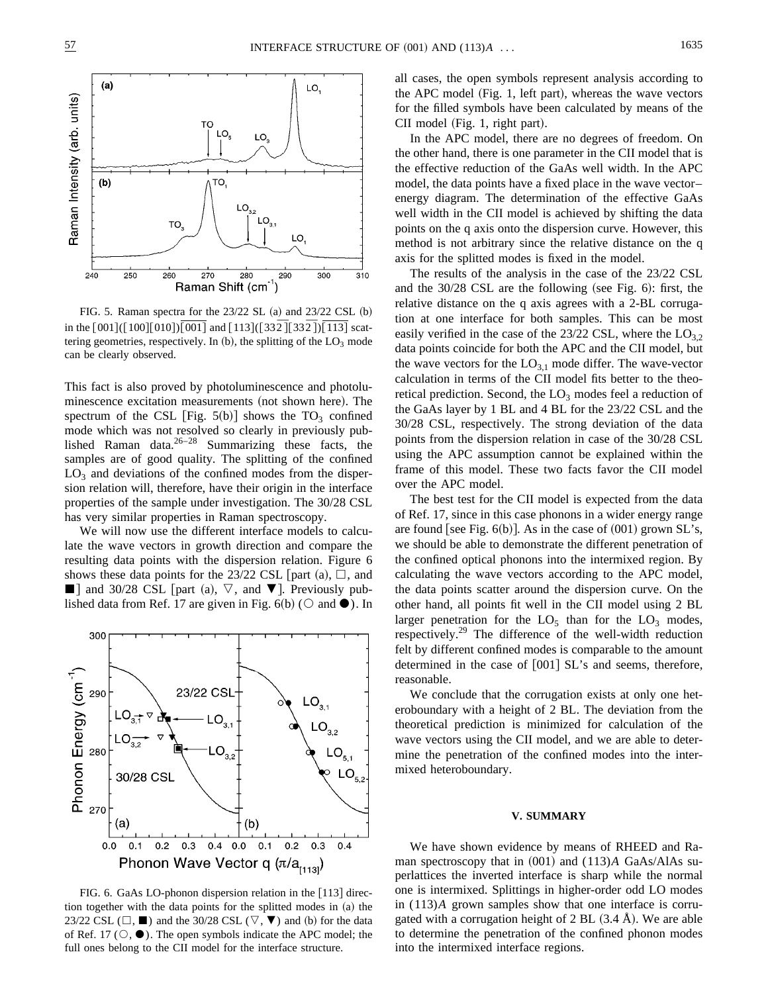

FIG. 5. Raman spectra for the  $23/22$  SL  $(a)$  and  $23/22$  CSL  $(b)$ in the  $[001]$ ( $[100]$  $[010]$  $[001]$  and  $[113]$ ( $[332]$  $[332]$ ) $[113]$  scattering geometries, respectively. In  $(b)$ , the splitting of the  $LO<sub>3</sub>$  mode can be clearly observed.

This fact is also proved by photoluminescence and photoluminescence excitation measurements (not shown here). The spectrum of the CSL [Fig.  $5(b)$ ] shows the TO<sub>3</sub> confined mode which was not resolved so clearly in previously published Raman data. $26-28$  Summarizing these facts, the samples are of good quality. The splitting of the confined  $LO<sub>3</sub>$  and deviations of the confined modes from the dispersion relation will, therefore, have their origin in the interface properties of the sample under investigation. The 30/28 CSL has very similar properties in Raman spectroscopy.

We will now use the different interface models to calculate the wave vectors in growth direction and compare the resulting data points with the dispersion relation. Figure 6 shows these data points for the 23/22 CSL  $|part (a), \Box$ , and  $\blacksquare$ ] and 30/28 CSL [part (a),  $\nabla$ , and  $\nabla$ ]. Previously published data from Ref. 17 are given in Fig. 6(b) ( $\circ$  and  $\bullet$ ). In



FIG. 6. GaAs LO-phonon dispersion relation in the  $[113]$  direction together with the data points for the splitted modes in  $(a)$  the 23/22 CSL ( $\Box$ ,  $\blacksquare$ ) and the 30/28 CSL ( $\nabla$ ,  $\nabla$ ) and (b) for the data of Ref. 17 ( $\circlearrowright$ ,  $\bullet$ ). The open symbols indicate the APC model; the full ones belong to the CII model for the interface structure.

all cases, the open symbols represent analysis according to the APC model (Fig. 1, left part), whereas the wave vectors for the filled symbols have been calculated by means of the CII model (Fig. 1, right part).

In the APC model, there are no degrees of freedom. On the other hand, there is one parameter in the CII model that is the effective reduction of the GaAs well width. In the APC model, the data points have a fixed place in the wave vector– energy diagram. The determination of the effective GaAs well width in the CII model is achieved by shifting the data points on the q axis onto the dispersion curve. However, this method is not arbitrary since the relative distance on the q axis for the splitted modes is fixed in the model.

The results of the analysis in the case of the 23/22 CSL and the  $30/28$  CSL are the following (see Fig. 6): first, the relative distance on the q axis agrees with a 2-BL corrugation at one interface for both samples. This can be most easily verified in the case of the 23/22 CSL, where the  $LO_3$ , data points coincide for both the APC and the CII model, but the wave vectors for the  $LO_{3,1}$  mode differ. The wave-vector calculation in terms of the CII model fits better to the theoretical prediction. Second, the  $LO<sub>3</sub>$  modes feel a reduction of the GaAs layer by 1 BL and 4 BL for the 23/22 CSL and the 30/28 CSL, respectively. The strong deviation of the data points from the dispersion relation in case of the 30/28 CSL using the APC assumption cannot be explained within the frame of this model. These two facts favor the CII model over the APC model.

The best test for the CII model is expected from the data of Ref. 17, since in this case phonons in a wider energy range are found [see Fig.  $6(b)$ ]. As in the case of  $(001)$  grown SL's, we should be able to demonstrate the different penetration of the confined optical phonons into the intermixed region. By calculating the wave vectors according to the APC model, the data points scatter around the dispersion curve. On the other hand, all points fit well in the CII model using 2 BL larger penetration for the  $LO_5$  than for the  $LO_3$  modes, respectively.<sup>29</sup> The difference of the well-width reduction felt by different confined modes is comparable to the amount determined in the case of  $[001]$  SL's and seems, therefore, reasonable.

We conclude that the corrugation exists at only one heteroboundary with a height of 2 BL. The deviation from the theoretical prediction is minimized for calculation of the wave vectors using the CII model, and we are able to determine the penetration of the confined modes into the intermixed heteroboundary.

#### **V. SUMMARY**

We have shown evidence by means of RHEED and Raman spectroscopy that in  $(001)$  and  $(113)A$  GaAs/AlAs superlattices the inverted interface is sharp while the normal one is intermixed. Splittings in higher-order odd LO modes in (113)*A* grown samples show that one interface is corrugated with a corrugation height of  $2 BL (3.4 \text{ Å})$ . We are able to determine the penetration of the confined phonon modes into the intermixed interface regions.